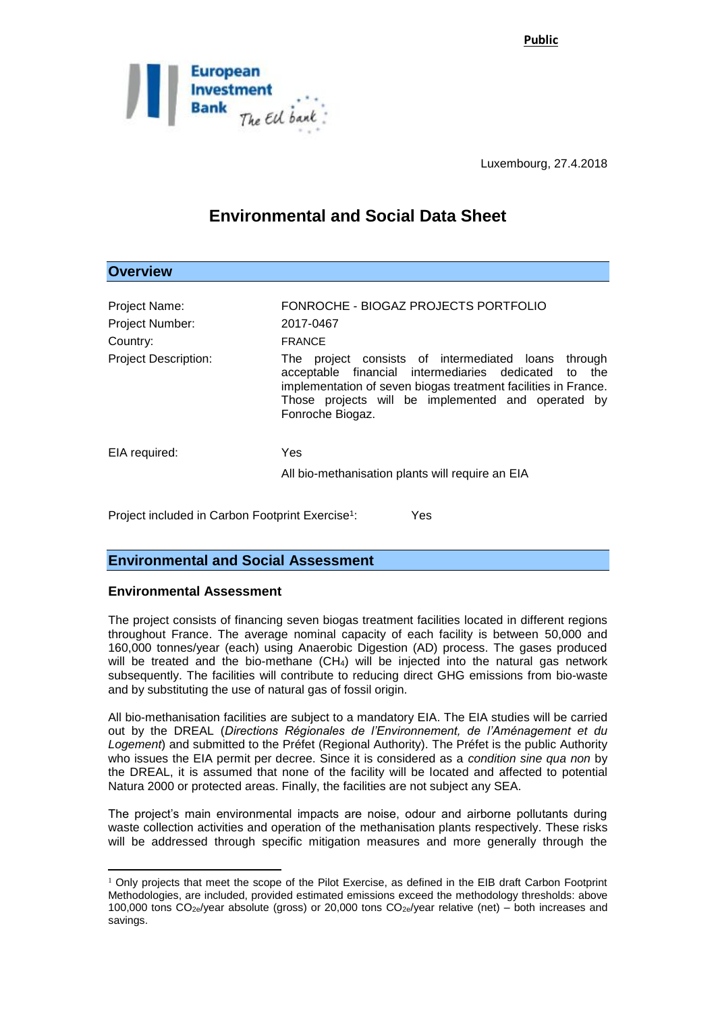**Public**



Luxembourg, 27.4.2018

# **Environmental and Social Data Sheet**

| <b>Overview</b>                                              |                                                                                                                                                                                                                                                                  |
|--------------------------------------------------------------|------------------------------------------------------------------------------------------------------------------------------------------------------------------------------------------------------------------------------------------------------------------|
| <b>Project Name:</b><br>Project Number:                      | FONROCHE - BIOGAZ PROJECTS PORTFOLIO<br>2017-0467                                                                                                                                                                                                                |
| Country:                                                     | <b>FRANCE</b>                                                                                                                                                                                                                                                    |
| <b>Project Description:</b>                                  | project consists of intermediated loans<br>through<br>The<br>acceptable financial intermediaries dedicated to<br>the<br>implementation of seven biogas treatment facilities in France.<br>Those projects will be implemented and operated by<br>Fonroche Biogaz. |
| EIA required:                                                | <b>Yes</b>                                                                                                                                                                                                                                                       |
|                                                              | All bio-methanisation plants will require an EIA                                                                                                                                                                                                                 |
| Project included in Carbon Footprint Exercise <sup>1</sup> : | Yes                                                                                                                                                                                                                                                              |

# **Environmental and Social Assessment**

# **Environmental Assessment**

The project consists of financing seven biogas treatment facilities located in different regions throughout France. The average nominal capacity of each facility is between 50,000 and 160,000 tonnes/year (each) using Anaerobic Digestion (AD) process. The gases produced will be treated and the bio-methane  $(CH<sub>4</sub>)$  will be injected into the natural gas network subsequently. The facilities will contribute to reducing direct GHG emissions from bio-waste and by substituting the use of natural gas of fossil origin.

All bio-methanisation facilities are subject to a mandatory EIA. The EIA studies will be carried out by the DREAL (*Directions Régionales de l'Environnement, de l'Aménagement et du Logement*) and submitted to the Préfet (Regional Authority). The Préfet is the public Authority who issues the EIA permit per decree. Since it is considered as a *condition sine qua non* by the DREAL, it is assumed that none of the facility will be located and affected to potential Natura 2000 or protected areas. Finally, the facilities are not subject any SEA.

The project's main environmental impacts are noise, odour and airborne pollutants during waste collection activities and operation of the methanisation plants respectively. These risks will be addressed through specific mitigation measures and more generally through the

<sup>1</sup>  $1$  Only projects that meet the scope of the Pilot Exercise, as defined in the EIB draft Carbon Footprint Methodologies, are included, provided estimated emissions exceed the methodology thresholds: above 100,000 tons  $CO_{2e}/year$  absolute (gross) or 20,000 tons  $CO_{2e}/year$  relative (net) – both increases and savings.